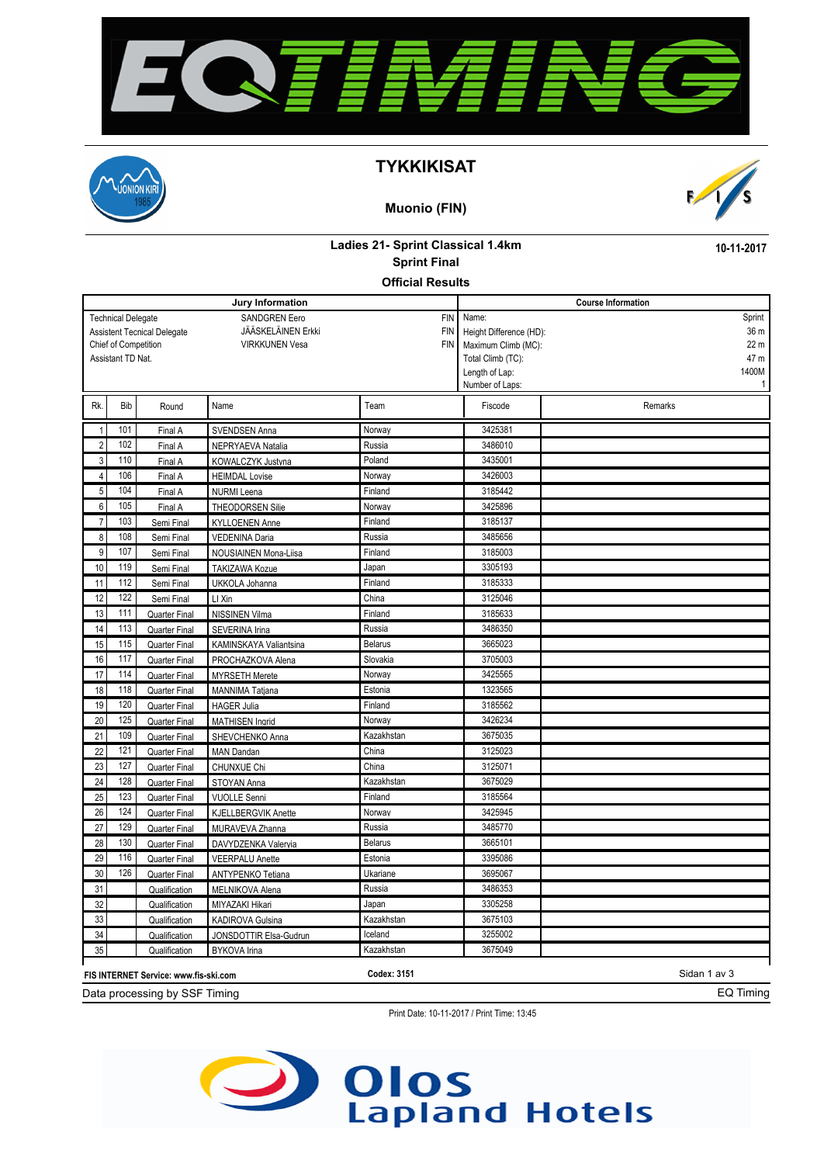



#### **TYKKIKISAT**

#### **Muonio (FIN)**



## **Ladies 21- Sprint Classical 1.4km Sprint Final**

**10-11-2017**

EQ Timing

#### **Official Results**

|                                                                                                                                                                                                                               |                                                                             |                      | Jury Information           | <b>Course Information</b> |                                                                                                                   |                                                         |  |  |
|-------------------------------------------------------------------------------------------------------------------------------------------------------------------------------------------------------------------------------|-----------------------------------------------------------------------------|----------------------|----------------------------|---------------------------|-------------------------------------------------------------------------------------------------------------------|---------------------------------------------------------|--|--|
| <b>SANDGREN Eero</b><br><b>FIN</b><br><b>Technical Delegate</b><br>JÄÄSKELÄINEN Erkki<br><b>FIN</b><br><b>Assistent Tecnical Delegate</b><br>Chief of Competition<br><b>FIN</b><br><b>VIRKKUNEN Vesa</b><br>Assistant TD Nat. |                                                                             |                      |                            |                           | Name:<br>Height Difference (HD):<br>Maximum Climb (MC):<br>Total Climb (TC):<br>Length of Lap:<br>Number of Laps: | Sprint<br>36 m<br>22 <sub>m</sub><br>47 m<br>1400M<br>1 |  |  |
| Rk.                                                                                                                                                                                                                           | Bib                                                                         | Round                | Name                       | Team                      | Fiscode                                                                                                           | Remarks                                                 |  |  |
| $\mathbf{1}$                                                                                                                                                                                                                  | 101                                                                         | Final A              | SVENDSEN Anna              | Norway                    | 3425381                                                                                                           |                                                         |  |  |
| $\sqrt{2}$                                                                                                                                                                                                                    | 102                                                                         | Final A              | NEPRYAEVA Natalia          | Russia                    | 3486010                                                                                                           |                                                         |  |  |
| 3                                                                                                                                                                                                                             | 110                                                                         | Final A              | KOWALCZYK Justyna          | Poland                    | 3435001                                                                                                           |                                                         |  |  |
| 4                                                                                                                                                                                                                             | 106                                                                         | Final A              | <b>HEIMDAL Lovise</b>      | Norway                    | 3426003                                                                                                           |                                                         |  |  |
| 5                                                                                                                                                                                                                             | 104                                                                         | Final A              | <b>NURMI</b> Leena         | Finland                   | 3185442                                                                                                           |                                                         |  |  |
| 6                                                                                                                                                                                                                             | 105                                                                         | Final A              | THEODORSEN Silie           | Norway                    | 3425896                                                                                                           |                                                         |  |  |
| $\overline{7}$                                                                                                                                                                                                                | 103                                                                         | Semi Final           | <b>KYLLOENEN Anne</b>      | Finland                   | 3185137                                                                                                           |                                                         |  |  |
| 8                                                                                                                                                                                                                             | 108                                                                         | Semi Final           | <b>VEDENINA Daria</b>      | Russia                    | 3485656                                                                                                           |                                                         |  |  |
| 9                                                                                                                                                                                                                             | 107                                                                         | Semi Final           | NOUSIAINEN Mona-Liisa      | Finland                   | 3185003                                                                                                           |                                                         |  |  |
| 10                                                                                                                                                                                                                            | 119                                                                         | Semi Final           | TAKIZAWA Kozue             | Japan                     | 3305193                                                                                                           |                                                         |  |  |
| 11                                                                                                                                                                                                                            | 112                                                                         | Semi Final           | UKKOLA Johanna             | Finland                   | 3185333                                                                                                           |                                                         |  |  |
| 12                                                                                                                                                                                                                            | 122                                                                         | Semi Final           | LI Xin                     | China                     | 3125046                                                                                                           |                                                         |  |  |
| 13                                                                                                                                                                                                                            | 111                                                                         | Quarter Final        | NISSINEN Vilma             | Finland                   | 3185633                                                                                                           |                                                         |  |  |
| 14                                                                                                                                                                                                                            | 113                                                                         | Quarter Final        | SEVERINA Irina             | Russia                    | 3486350                                                                                                           |                                                         |  |  |
| 15                                                                                                                                                                                                                            | 115                                                                         | Quarter Final        | KAMINSKAYA Valiantsina     | <b>Belarus</b>            | 3665023                                                                                                           |                                                         |  |  |
| 16                                                                                                                                                                                                                            | 117                                                                         | Quarter Final        | PROCHAZKOVA Alena          | Slovakia                  | 3705003                                                                                                           |                                                         |  |  |
| 17                                                                                                                                                                                                                            | 114                                                                         | <b>Quarter Final</b> | <b>MYRSETH Merete</b>      | Norway                    | 3425565                                                                                                           |                                                         |  |  |
| 18                                                                                                                                                                                                                            | 118                                                                         | Quarter Final        | <b>MANNIMA Tatiana</b>     | Estonia                   | 1323565                                                                                                           |                                                         |  |  |
| 19                                                                                                                                                                                                                            | 120                                                                         | Quarter Final        | <b>HAGER Julia</b>         | Finland                   | 3185562                                                                                                           |                                                         |  |  |
| 20                                                                                                                                                                                                                            | 125                                                                         | Quarter Final        | <b>MATHISEN Ingrid</b>     | Norway                    | 3426234                                                                                                           |                                                         |  |  |
| 21                                                                                                                                                                                                                            | 109                                                                         | Quarter Final        | SHEVCHENKO Anna            | Kazakhstan                | 3675035                                                                                                           |                                                         |  |  |
| 22                                                                                                                                                                                                                            | 121                                                                         | Quarter Final        | <b>MAN Dandan</b>          | China                     | 3125023                                                                                                           |                                                         |  |  |
| 23                                                                                                                                                                                                                            | 127                                                                         | Quarter Final        | CHUNXUE Chi                | China                     | 3125071                                                                                                           |                                                         |  |  |
| 24                                                                                                                                                                                                                            | 128                                                                         | Quarter Final        | STOYAN Anna                | Kazakhstan                | 3675029                                                                                                           |                                                         |  |  |
| 25                                                                                                                                                                                                                            | 123                                                                         | Quarter Final        | <b>VUOLLE Senni</b>        | Finland                   | 3185564                                                                                                           |                                                         |  |  |
| 26                                                                                                                                                                                                                            | 124                                                                         | Quarter Final        | <b>KJELLBERGVIK Anette</b> | Norway                    | 3425945                                                                                                           |                                                         |  |  |
| 27                                                                                                                                                                                                                            | 129                                                                         | <b>Quarter Final</b> | MURAVEVA Zhanna            | Russia                    | 3485770                                                                                                           |                                                         |  |  |
| 28                                                                                                                                                                                                                            | 130                                                                         | Quarter Final        | DAVYDZENKA Valeryia        | <b>Belarus</b>            | 3665101                                                                                                           |                                                         |  |  |
| 29                                                                                                                                                                                                                            | 116                                                                         | Quarter Final        | <b>VEERPALU Anette</b>     | Estonia                   | 3395086                                                                                                           |                                                         |  |  |
| 30                                                                                                                                                                                                                            | 126                                                                         | <b>Quarter Final</b> | ANTYPENKO Tetiana          | Ukariane                  | 3695067                                                                                                           |                                                         |  |  |
| 31                                                                                                                                                                                                                            |                                                                             | Qualification        | MELNIKOVA Alena            | Russia                    | 3486353                                                                                                           |                                                         |  |  |
| 32                                                                                                                                                                                                                            |                                                                             | Qualification        | MIYAZAKI Hikari            | Japan                     | 3305258                                                                                                           |                                                         |  |  |
| 33                                                                                                                                                                                                                            |                                                                             | Qualification        | <b>KADIROVA Gulsina</b>    | Kazakhstan                | 3675103                                                                                                           |                                                         |  |  |
| 34                                                                                                                                                                                                                            |                                                                             | Qualification        | JONSDOTTIR Elsa-Gudrun     | Iceland                   | 3255002                                                                                                           |                                                         |  |  |
| 35                                                                                                                                                                                                                            |                                                                             | Qualification        | <b>BYKOVA</b> Irina        | Kazakhstan                | 3675049                                                                                                           |                                                         |  |  |
|                                                                                                                                                                                                                               | <b>Codex: 3151</b><br>Sidan 1 av 3<br>FIS INTERNET Service: www.fis-ski.com |                      |                            |                           |                                                                                                                   |                                                         |  |  |

Data processing by SSF Timing

Print Date: 10-11-2017 / Print Time: 13:45

# **Olos**<br>Lapland Hotels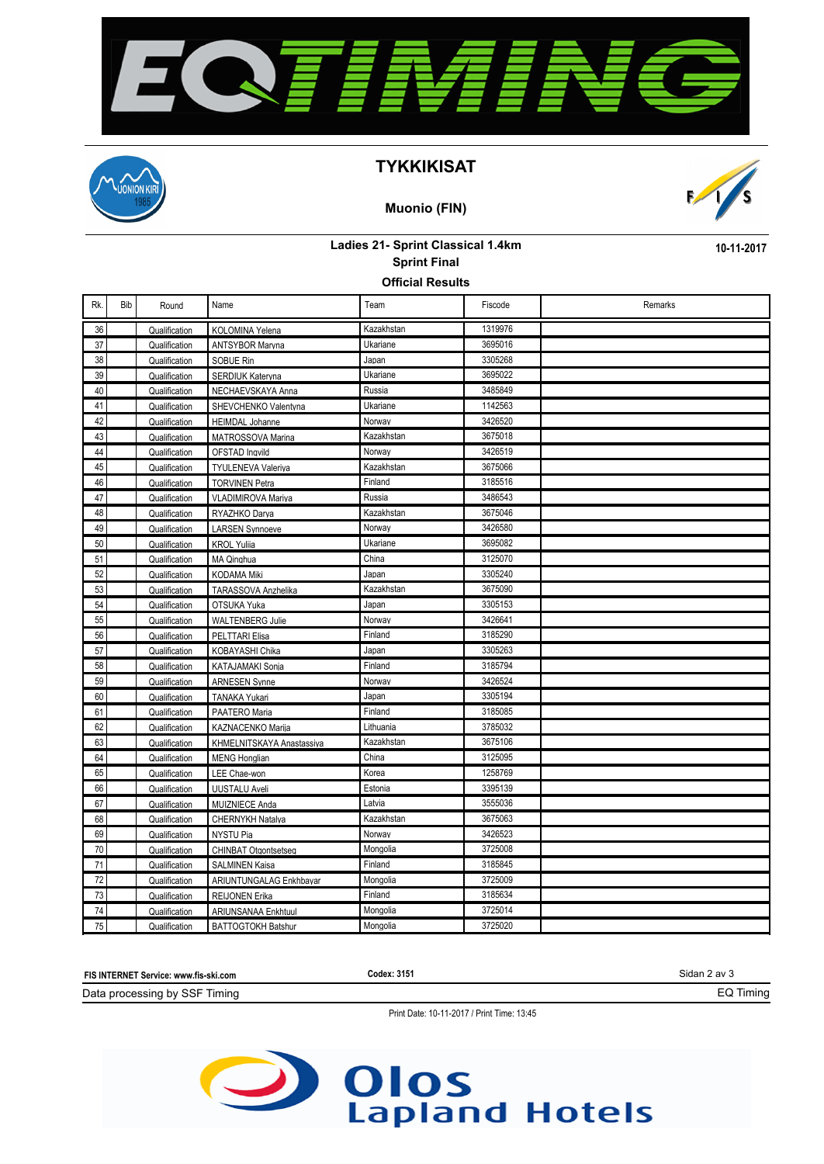



#### **TYKKIKISAT**

#### **Muonio (FIN)**



**10-11-2017**

### **Ladies 21- Sprint Classical 1.4km Sprint Final**

**Official Results**

| Rk. | Bib | Round         | Name                        | Team       | Fiscode | Remarks |
|-----|-----|---------------|-----------------------------|------------|---------|---------|
| 36  |     | Qualification | KOLOMINA Yelena             | Kazakhstan | 1319976 |         |
| 37  |     | Qualification | <b>ANTSYBOR Marvna</b>      | Ukariane   | 3695016 |         |
| 38  |     | Qualification | SOBUE Rin                   | Japan      | 3305268 |         |
| 39  |     | Qualification | SERDIUK Katervna            | Ukariane   | 3695022 |         |
| 40  |     | Qualification | NECHAEVSKAYA Anna           | Russia     | 3485849 |         |
| 41  |     | Qualification | SHEVCHENKO Valentvna        | Ukariane   | 1142563 |         |
| 42  |     | Qualification | <b>HEIMDAL Johanne</b>      | Norway     | 3426520 |         |
| 43  |     | Qualification | MATROSSOVA Marina           | Kazakhstan | 3675018 |         |
| 44  |     | Qualification | OFSTAD Inqvild              | Norway     | 3426519 |         |
| 45  |     | Qualification | <b>TYULENEVA Valeriva</b>   | Kazakhstan | 3675066 |         |
| 46  |     | Qualification | <b>TORVINEN Petra</b>       | Finland    | 3185516 |         |
| 47  |     | Qualification | VLADIMIROVA Mariya          | Russia     | 3486543 |         |
| 48  |     | Qualification | RYAZHKO Darva               | Kazakhstan | 3675046 |         |
| 49  |     | Qualification | <b>LARSEN Synnoeve</b>      | Norway     | 3426580 |         |
| 50  |     | Qualification | <b>KROL Yuliia</b>          | Ukariane   | 3695082 |         |
| 51  |     | Qualification | MA Qinghua                  | China      | 3125070 |         |
| 52  |     | Qualification | <b>KODAMA Miki</b>          | Japan      | 3305240 |         |
| 53  |     | Qualification | TARASSOVA Anzhelika         | Kazakhstan | 3675090 |         |
| 54  |     | Qualification | OTSUKA Yuka                 | Japan      | 3305153 |         |
| 55  |     | Qualification | <b>WALTENBERG Julie</b>     | Norway     | 3426641 |         |
| 56  |     | Qualification | PELTTARI Elisa              | Finland    | 3185290 |         |
| 57  |     | Qualification | KOBAYASHI Chika             | Japan      | 3305263 |         |
| 58  |     | Qualification | KATAJAMAKI Sonia            | Finland    | 3185794 |         |
| 59  |     | Qualification | <b>ARNESEN Synne</b>        | Norway     | 3426524 |         |
| 60  |     | Qualification | <b>TANAKA Yukari</b>        | Japan      | 3305194 |         |
| 61  |     | Qualification | PAATERO Maria               | Finland    | 3185085 |         |
| 62  |     | Qualification | <b>KAZNACENKO Marija</b>    | Lithuania  | 3785032 |         |
| 63  |     | Qualification | KHMELNITSKAYA Anastassiya   | Kazakhstan | 3675106 |         |
| 64  |     | Qualification | <b>MENG Honglian</b>        | China      | 3125095 |         |
| 65  |     | Qualification | LEE Chae-won                | Korea      | 1258769 |         |
| 66  |     | Qualification | <b>UUSTALU Aveli</b>        | Estonia    | 3395139 |         |
| 67  |     | Qualification | <b>MUIZNIECE Anda</b>       | Latvia     | 3555036 |         |
| 68  |     | Qualification | CHERNYKH Natalya            | Kazakhstan | 3675063 |         |
| 69  |     | Qualification | NYSTU Pia                   | Norway     | 3426523 |         |
| 70  |     | Qualification | <b>CHINBAT Otgontsetseg</b> | Mongolia   | 3725008 |         |
| 71  |     | Qualification | <b>SALMINEN Kaisa</b>       | Finland    | 3185845 |         |
| 72  |     | Qualification | ARIUNTUNGALAG Enkhbayar     | Mongolia   | 3725009 |         |
| 73  |     | Qualification | <b>REIJONEN Erika</b>       | Finland    | 3185634 |         |
| 74  |     | Qualification | ARIUNSANAA Enkhtuul         | Mongolia   | 3725014 |         |
| 75  |     | Qualification | <b>BATTOGTOKH Batshur</b>   | Mongolia   | 3725020 |         |



Print Date: 10-11-2017 / Print Time: 13:45

# Olos<br>Lapland Hotels